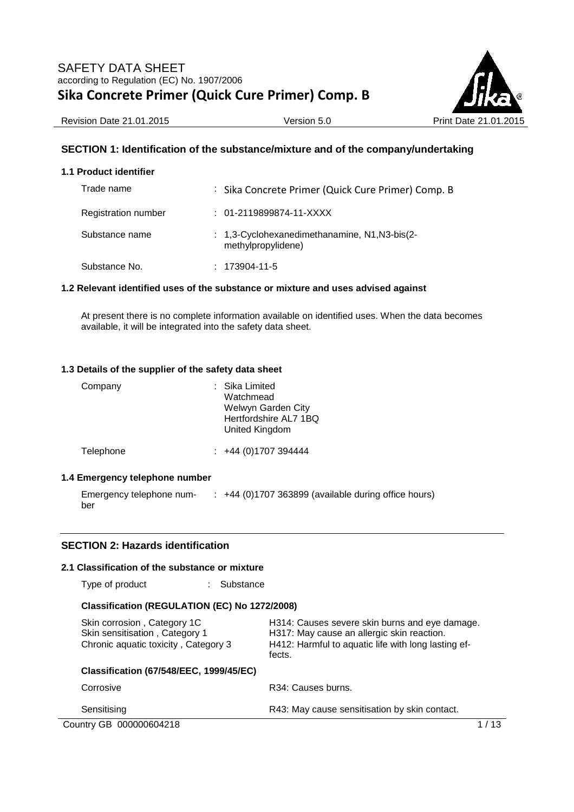

Revision Date 21.01.2015 Version 5.0 Print Date 21.01.2015

## **SECTION 1: Identification of the substance/mixture and of the company/undertaking**

### **1.1 Product identifier**

| Trade name          | : Sika Concrete Primer (Quick Cure Primer) Comp. B                  |
|---------------------|---------------------------------------------------------------------|
| Registration number | $: 01-2119899874-11-XXXX$                                           |
| Substance name      | : 1,3-Cyclohexanedimethanamine, N1, N3-bis(2-<br>methylpropylidene) |
| Substance No.       | $: 173904 - 11 - 5$                                                 |

#### **1.2 Relevant identified uses of the substance or mixture and uses advised against**

At present there is no complete information available on identified uses. When the data becomes available, it will be integrated into the safety data sheet.

#### **1.3 Details of the supplier of the safety data sheet**

| Company                    | : Sika Limited<br>Watchmead<br>Welwyn Garden City<br>Hertfordshire AL7 1BQ<br>United Kingdom |
|----------------------------|----------------------------------------------------------------------------------------------|
| Telephone                  | $\div$ +44 (0)1707 394444                                                                    |
| Emargancy talanhona numhar |                                                                                              |

## **1.4 Emergency telephone number**

| Emergency telephone num- | $+44$ (0)1707 363899 (available during office hours) |
|--------------------------|------------------------------------------------------|
| ber                      |                                                      |

## **SECTION 2: Hazards identification**

#### **2.1 Classification of the substance or mixture**

Type of product : Substance

### **Classification (REGULATION (EC) No 1272/2008)**

| Skin corrosion, Category 1C<br>Skin sensitisation, Category 1<br>Chronic aquatic toxicity, Category 3 | H314: Causes severe skin burns and eye damage.<br>H317: May cause an allergic skin reaction.<br>H412: Harmful to aquatic life with long lasting ef-<br>fects. |  |
|-------------------------------------------------------------------------------------------------------|---------------------------------------------------------------------------------------------------------------------------------------------------------------|--|
| <b>Classification (67/548/EEC, 1999/45/EC)</b>                                                        |                                                                                                                                                               |  |
| Corrosive                                                                                             | R34: Causes burns.                                                                                                                                            |  |
| Sensitising                                                                                           | R43: May cause sensitisation by skin contact.                                                                                                                 |  |
| Country GB 000000604218                                                                               |                                                                                                                                                               |  |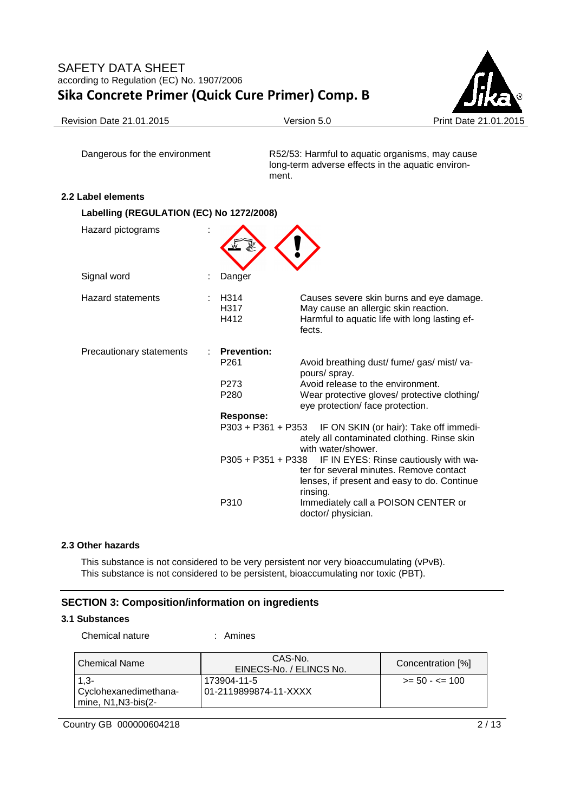

Revision Date 21.01.2015 **Version 5.0** Version 5.0 Print Date 21.01.2015

Dangerous for the environment R52/53: Harmful to aquatic organisms, may cause long-term adverse effects in the aquatic environment.

## **2.2 Label elements**

| Labelling (REGULATION (EC) No 1272/2008) |                                                                                |                                                                                                                                                                                  |  |  |  |  |  |  |
|------------------------------------------|--------------------------------------------------------------------------------|----------------------------------------------------------------------------------------------------------------------------------------------------------------------------------|--|--|--|--|--|--|
| Hazard pictograms                        |                                                                                |                                                                                                                                                                                  |  |  |  |  |  |  |
| Signal word                              | Danger                                                                         |                                                                                                                                                                                  |  |  |  |  |  |  |
| <b>Hazard statements</b>                 | H <sub>3</sub> 14<br>H317<br>H412                                              | Causes severe skin burns and eye damage.<br>May cause an allergic skin reaction.<br>Harmful to aquatic life with long lasting ef-<br>fects.                                      |  |  |  |  |  |  |
| Precautionary statements                 | <b>Prevention:</b><br>P <sub>261</sub><br>P <sub>273</sub><br>P <sub>280</sub> | Avoid breathing dust/fume/gas/mist/va-<br>pours/ spray.<br>Avoid release to the environment.<br>Wear protective gloves/ protective clothing/<br>eye protection/ face protection. |  |  |  |  |  |  |
|                                          | <b>Response:</b>                                                               | P303 + P361 + P353 IF ON SKIN (or hair): Take off immedi-<br>ately all contaminated clothing. Rinse skin<br>with water/shower.                                                   |  |  |  |  |  |  |
|                                          | P305 + P351 + P338                                                             | IF IN EYES: Rinse cautiously with wa-<br>ter for several minutes. Remove contact<br>lenses, if present and easy to do. Continue<br>rinsing.                                      |  |  |  |  |  |  |
|                                          | P310                                                                           | Immediately call a POISON CENTER or<br>doctor/ physician.                                                                                                                        |  |  |  |  |  |  |

## **2.3 Other hazards**

This substance is not considered to be very persistent nor very bioaccumulating (vPvB). This substance is not considered to be persistent, bioaccumulating nor toxic (PBT).

## **SECTION 3: Composition/information on ingredients**

## **3.1 Substances**

Chemical nature : Amines

| l Chemical Name       | CAS-No.<br>EINECS-No. / ELINCS No. | Concentration [%]        |
|-----------------------|------------------------------------|--------------------------|
| $1.3 -$               | 173904-11-5                        | $\ge$ = 50 - $\le$ = 100 |
| Cyclohexanedimethana- | 01-2119899874-11-XXXX              |                          |
| mine, $N1, N3-bis(2-$ |                                    |                          |

Country GB 000000604218 2/13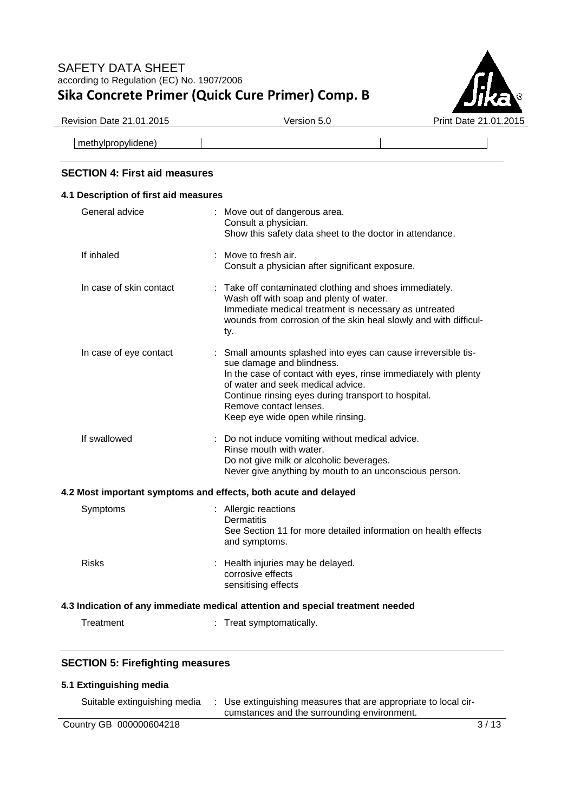

Revision Date 21.01.2015 **Version 5.0** Version 5.0 Print Date 21.01.2015

methylpropylidene)

## **SECTION 4: First aid measures**

# **4.1 Description of first aid measures**  General advice : Move out of dangerous area. Consult a physician. Show this safety data sheet to the doctor in attendance. If inhaled : Move to fresh air. Consult a physician after significant exposure. In case of skin contact : Take off contaminated clothing and shoes immediately. Wash off with soap and plenty of water. Immediate medical treatment is necessary as untreated wounds from corrosion of the skin heal slowly and with difficulty. In case of eye contact : Small amounts splashed into eyes can cause irreversible tissue damage and blindness. In the case of contact with eyes, rinse immediately with plenty of water and seek medical advice. Continue rinsing eyes during transport to hospital. Remove contact lenses. Keep eye wide open while rinsing. If swallowed : Do not induce vomiting without medical advice. Rinse mouth with water. Do not give milk or alcoholic beverages. Never give anything by mouth to an unconscious person. **4.2 Most important symptoms and effects, both acute and delayed**  Symptoms : Allergic reactions **Dermatitis** See Section 11 for more detailed information on health effects and symptoms. Risks : Health injuries may be delayed. corrosive effects sensitising effects **4.3 Indication of any immediate medical attention and special treatment needed**  Treatment : Treat symptomatically.

## **SECTION 5: Firefighting measures**

## **5.1 Extinguishing media**

| Suitable extinguishing media | Use extinguishing measures that are appropriate to local cir-<br>cumstances and the surrounding environment. |      |
|------------------------------|--------------------------------------------------------------------------------------------------------------|------|
| Country GB 000000604218      |                                                                                                              | 3/13 |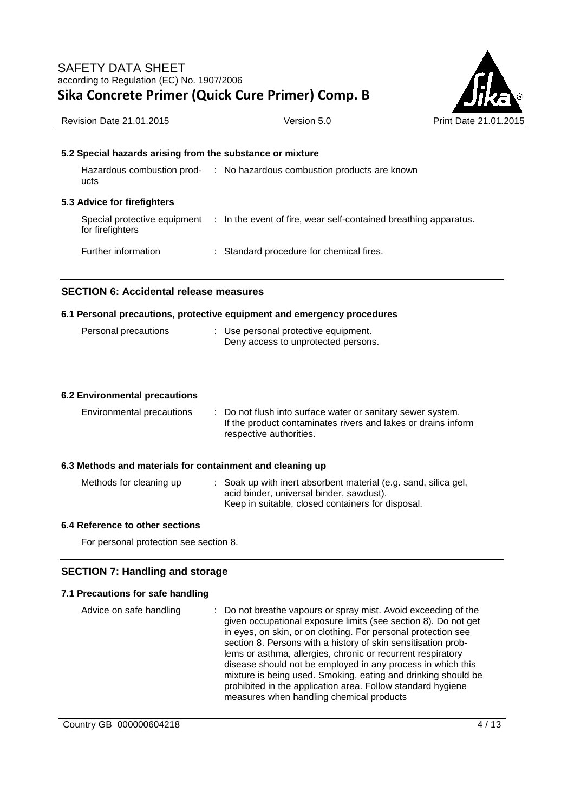

| <b>Revision Date 21.01.2015</b> | Version 5.0 |
|---------------------------------|-------------|
|---------------------------------|-------------|

### **5.2 Special hazards arising from the substance or mixture**

| Hazardous combustion prod-<br>ucts | : No hazardous combustion products are known                                                  |
|------------------------------------|-----------------------------------------------------------------------------------------------|
| 5.3 Advice for firefighters        |                                                                                               |
| for firefighters                   | Special protective equipment : In the event of fire, wear self-contained breathing apparatus. |

Further information : Standard procedure for chemical fires.

## **SECTION 6: Accidental release measures**

#### **6.1 Personal precautions, protective equipment and emergency procedures**

| Personal precautions |  | : Use personal protective equipment. |
|----------------------|--|--------------------------------------|
|                      |  | Deny access to unprotected persons.  |

#### **6.2 Environmental precautions**

| Environmental precautions                                                            | : Do not flush into surface water or sanitary sewer system.<br>If the product contaminates rivers and lakes or drains inform<br>respective authorities.          |
|--------------------------------------------------------------------------------------|------------------------------------------------------------------------------------------------------------------------------------------------------------------|
| 6.3 Methods and materials for containment and cleaning up<br>Methods for cleaning up | : Soak up with inert absorbent material (e.g. sand, silica gel,<br>acid binder, universal binder, sawdust).<br>Keep in suitable, closed containers for disposal. |

#### **6.4 Reference to other sections**

For personal protection see section 8.

## **SECTION 7: Handling and storage**

## **7.1 Precautions for safe handling**

Advice on safe handling : Do not breathe vapours or spray mist. Avoid exceeding of the given occupational exposure limits (see section 8). Do not get in eyes, on skin, or on clothing. For personal protection see section 8. Persons with a history of skin sensitisation problems or asthma, allergies, chronic or recurrent respiratory disease should not be employed in any process in which this mixture is being used. Smoking, eating and drinking should be prohibited in the application area. Follow standard hygiene measures when handling chemical products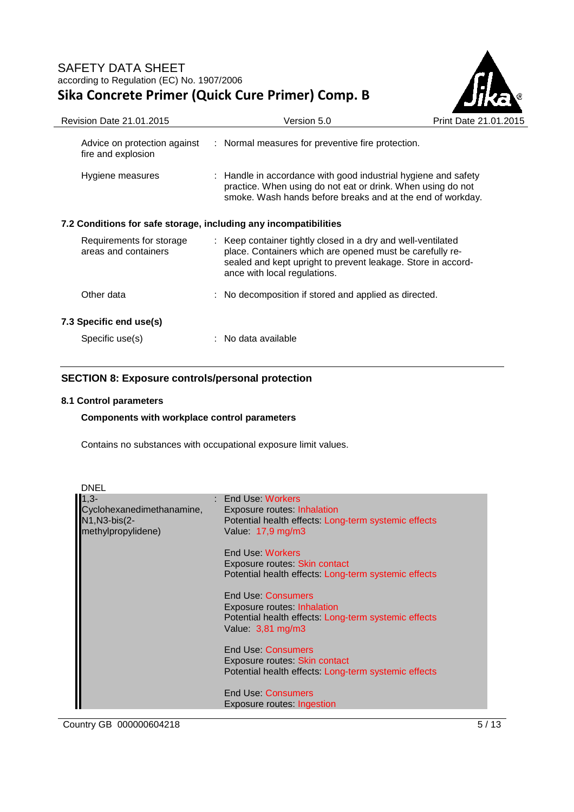

| Revision Date 21.01.2015                                         | Version 5.0                                                                                                                                                                                                              | Print Date 21.01. |
|------------------------------------------------------------------|--------------------------------------------------------------------------------------------------------------------------------------------------------------------------------------------------------------------------|-------------------|
| Advice on protection against<br>fire and explosion               | : Normal measures for preventive fire protection.                                                                                                                                                                        |                   |
| Hygiene measures                                                 | : Handle in accordance with good industrial hygiene and safety<br>practice. When using do not eat or drink. When using do not<br>smoke. Wash hands before breaks and at the end of workday.                              |                   |
| 7.2 Conditions for safe storage, including any incompatibilities |                                                                                                                                                                                                                          |                   |
| Requirements for storage<br>areas and containers                 | : Keep container tightly closed in a dry and well-ventilated<br>place. Containers which are opened must be carefully re-<br>sealed and kept upright to prevent leakage. Store in accord-<br>ance with local regulations. |                   |
| Other data                                                       | : No decomposition if stored and applied as directed.                                                                                                                                                                    |                   |
| 7.3 Specific end use(s)                                          |                                                                                                                                                                                                                          |                   |
| Specific use(s)                                                  | No data available                                                                                                                                                                                                        |                   |

## **SECTION 8: Exposure controls/personal protection**

### **8.1 Control parameters**

## **Components with workplace control parameters**

Contains no substances with occupational exposure limit values.

| <b>DNEL</b>                                                                |                                                                                                                                       |
|----------------------------------------------------------------------------|---------------------------------------------------------------------------------------------------------------------------------------|
| $1,3-$<br>Cyclohexanedimethanamine,<br>N1, N3-bis(2-<br>methylpropylidene) | : End Use: Workers<br>Exposure routes: Inhalation<br>Potential health effects: Long-term systemic effects<br>Value: 17,9 mg/m3        |
|                                                                            | End Use: Workers<br>Exposure routes: Skin contact<br>Potential health effects: Long-term systemic effects                             |
|                                                                            | End Use: Consumers<br><b>Exposure routes: Inhalation</b><br>Potential health effects: Long-term systemic effects<br>Value: 3,81 mg/m3 |
|                                                                            | End Use: Consumers<br>Exposure routes: Skin contact<br>Potential health effects: Long-term systemic effects                           |
|                                                                            | End Use: Consumers<br>Exposure routes: Ingestion                                                                                      |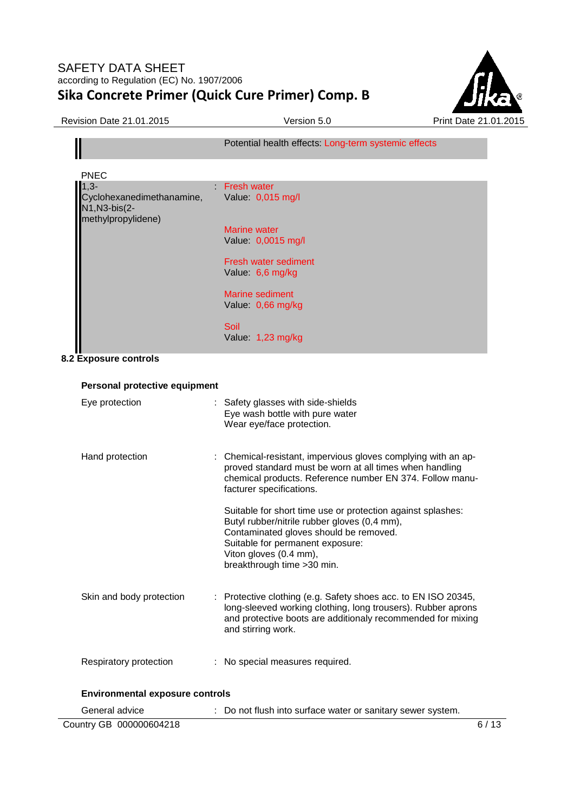

|                                                                  | Potential health effects: Long-term systemic effects |
|------------------------------------------------------------------|------------------------------------------------------|
| <b>PNEC</b>                                                      |                                                      |
| $1,3-$                                                           | Fresh water                                          |
| Cyclohexanedimethanamine,<br>N1, N3-bis(2-<br>methylpropylidene) | Value: 0,015 mg/l                                    |
|                                                                  | <b>Marine water</b>                                  |
|                                                                  | Value: 0,0015 mg/l                                   |
|                                                                  | Fresh water sediment                                 |
|                                                                  | Value: 6,6 mg/kg                                     |
|                                                                  | Marine sediment                                      |
|                                                                  | Value: 0,66 mg/kg                                    |
|                                                                  | Soil                                                 |
|                                                                  | Value: 1,23 mg/kg                                    |

## **8.2 Exposure controls**

| Personal protective equipment          |                                                                                                                                                                                                                                                    |
|----------------------------------------|----------------------------------------------------------------------------------------------------------------------------------------------------------------------------------------------------------------------------------------------------|
| Eye protection                         | : Safety glasses with side-shields<br>Eye wash bottle with pure water<br>Wear eye/face protection.                                                                                                                                                 |
| Hand protection                        | Chemical-resistant, impervious gloves complying with an ap-<br>proved standard must be worn at all times when handling<br>chemical products. Reference number EN 374. Follow manu-<br>facturer specifications.                                     |
|                                        | Suitable for short time use or protection against splashes:<br>Butyl rubber/nitrile rubber gloves (0,4 mm),<br>Contaminated gloves should be removed.<br>Suitable for permanent exposure:<br>Viton gloves (0.4 mm),<br>breakthrough time > 30 min. |
| Skin and body protection               | Protective clothing (e.g. Safety shoes acc. to EN ISO 20345,<br>long-sleeved working clothing, long trousers). Rubber aprons<br>and protective boots are additionaly recommended for mixing<br>and stirring work.                                  |
| Respiratory protection                 | : No special measures required.                                                                                                                                                                                                                    |
| <b>Environmental exposure controls</b> |                                                                                                                                                                                                                                                    |
| General advice                         | : Do not flush into surface water or sanitary sewer system.                                                                                                                                                                                        |
| Country GB 000000604218                | 6/13                                                                                                                                                                                                                                               |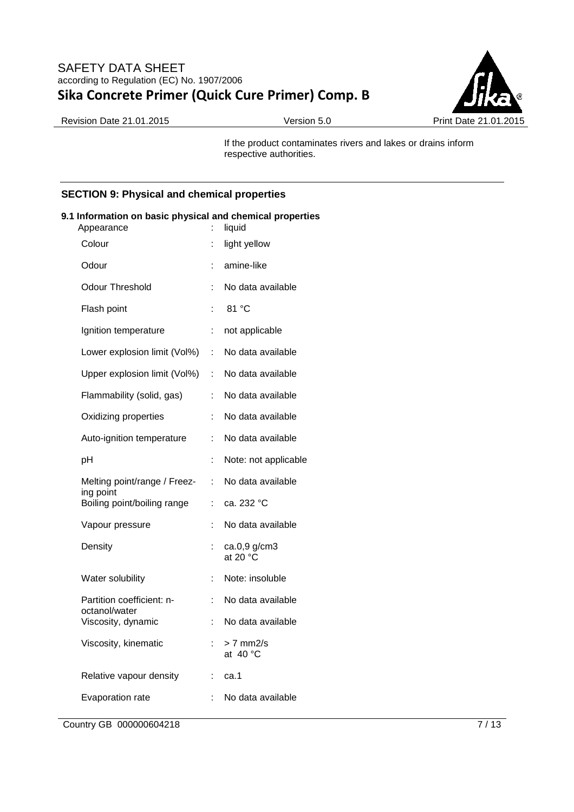

Revision Date 21.01.2015 Version 5.0 Print Date 21.01.2015

If the product contaminates rivers and lakes or drains inform respective authorities.

## **SECTION 9: Physical and chemical properties**

### **9.1 Information on basic physical and chemical properties**

| Appearance                                 | ÷  | liquid                             |
|--------------------------------------------|----|------------------------------------|
| Colour                                     | t  | light yellow                       |
| Odour                                      | t  | amine-like                         |
| <b>Odour Threshold</b>                     | t  | No data available                  |
| Flash point                                | t  | 81 °C                              |
| Ignition temperature                       | İ, | not applicable                     |
| Lower explosion limit (Vol%)               | ÷  | No data available                  |
| Upper explosion limit (Vol%)               | t  | No data available                  |
| Flammability (solid, gas)                  | ÷  | No data available                  |
| Oxidizing properties                       | ÷  | No data available                  |
| Auto-ignition temperature                  | t  | No data available                  |
| pH                                         | Ì, | Note: not applicable               |
| Melting point/range / Freez-<br>ing point  | ÷  | No data available                  |
| Boiling point/boiling range                | ÷  | ca. 232 °C                         |
| Vapour pressure                            | ÷  | No data available                  |
| Density                                    | t  | ca.0,9 g/cm3<br>at 20 $^{\circ}$ C |
| Water solubility                           | İ. | Note: insoluble                    |
| Partition coefficient: n-<br>octanol/water | ÷  | No data available                  |
| Viscosity, dynamic                         | t. | No data available                  |
| Viscosity, kinematic                       | ÷  | $> 7$ mm2/s<br>at 40 °C            |
| Relative vapour density                    | ÷  | ca.1                               |
| Evaporation rate                           | ÷  | No data available                  |
|                                            |    |                                    |

Country GB 000000604218 7/13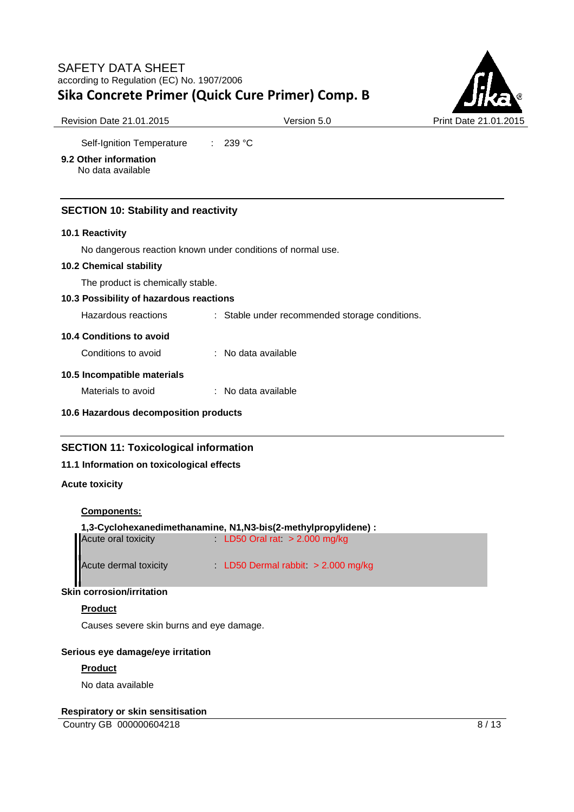

Self-Ignition Temperature : 239 °C

## **9.2 Other information**

No data available

## **SECTION 10: Stability and reactivity**

#### **10.1 Reactivity**

No dangerous reaction known under conditions of normal use.

#### **10.2 Chemical stability**

The product is chemically stable.

### **10.3 Possibility of hazardous reactions**

Hazardous reactions : Stable under recommended storage conditions.

## **10.4 Conditions to avoid**

Conditions to avoid : No data available

## **10.5 Incompatible materials**

Materials to avoid : No data available

#### **10.6 Hazardous decomposition products**

## **SECTION 11: Toxicological information**

## **11.1 Information on toxicological effects**

### **Acute toxicity**

#### **Components:**

| 1,3-Cyclohexanedimethanamine, N1, N3-bis(2-methylpropylidene): |  |                                    |  |
|----------------------------------------------------------------|--|------------------------------------|--|
| Acute oral toxicity                                            |  | LD50 Oral rat $> 2.000$ mg/kg      |  |
| Acute dermal toxicity                                          |  | LD50 Dermal rabbit $> 2.000$ mg/kg |  |

## **Skin corrosion/irritation**

## **Product**

Causes severe skin burns and eye damage.

#### **Serious eye damage/eye irritation**

#### **Product**

No data available

#### **Respiratory or skin sensitisation**

Country GB 000000604218 8 / 13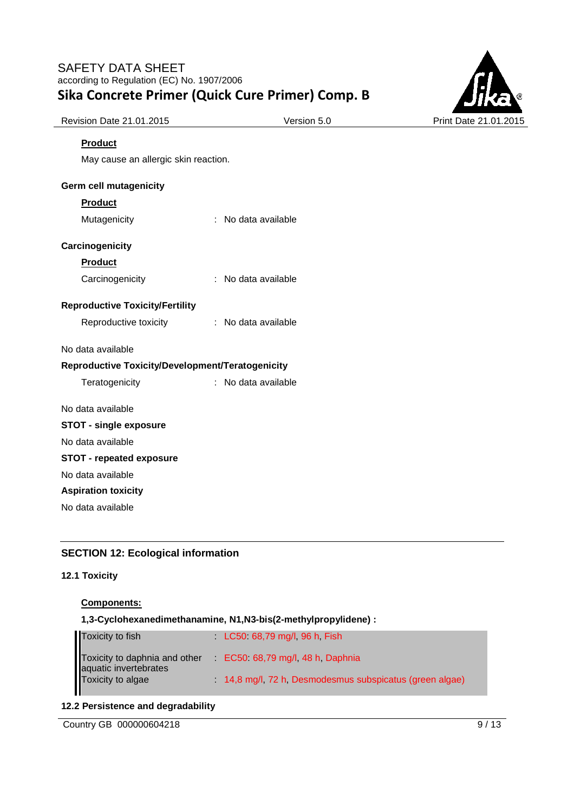

| Revision Date 21.01.2015 | Vers |
|--------------------------|------|
|                          |      |

## **Product**

May cause an allergic skin reaction.

## **Germ cell mutagenicity**

#### **Product**

Mutagenicity : No data available

## **Carcinogenicity**

#### **Product**

Carcinogenicity : No data available

#### **Reproductive Toxicity/Fertility**

#### No data available

## **Reproductive Toxicity/Development/Teratogenicity**

| Teratogenicity | No data available |
|----------------|-------------------|
|----------------|-------------------|

#### No data available

## **STOT - single exposure**

No data available

## **STOT - repeated exposure**

No data available

# **Aspiration toxicity**

No data available

## **SECTION 12: Ecological information**

## **12.1 Toxicity**

## **Components:**

## **1,3-Cyclohexanedimethanamine, N1,N3-bis(2-methylpropylidene) :**

| <b>Toxicity to fish</b>                                                     | $LC50$ 68,79 mg/l, 96 h, Fish                          |  |
|-----------------------------------------------------------------------------|--------------------------------------------------------|--|
| Toxicity to daphnia and other<br>aquatic invertebrates<br>Toxicity to algae | $EC50$ 68,79 mg/l, 48 h, Daphnia                       |  |
|                                                                             | 14,8 mg/l, 72 h, Desmodesmus subspicatus (green algae) |  |

## **12.2 Persistence and degradability**

Country GB 000000604218 9/13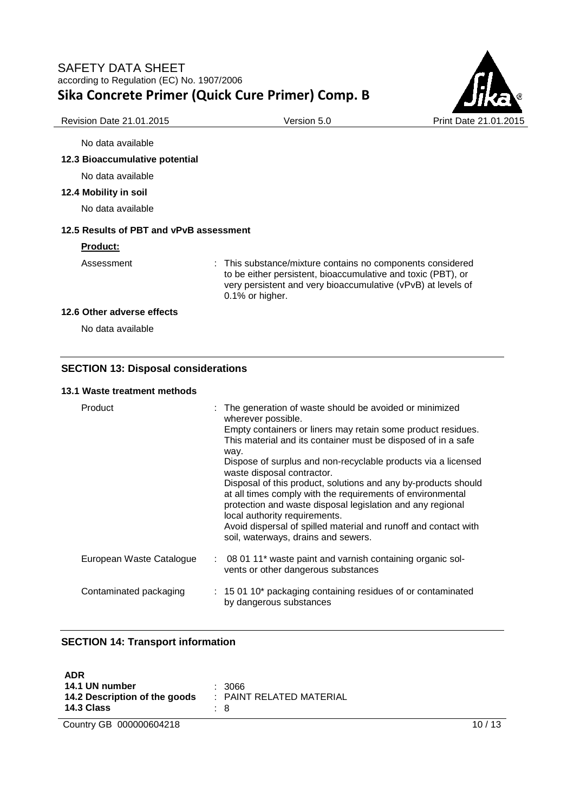

No data available

### **12.3 Bioaccumulative potential**

No data available

**12.4 Mobility in soil** 

No data available

### **12.5 Results of PBT and vPvB assessment**

#### **Product:**

Assessment : This substance/mixture contains no components considered to be either persistent, bioaccumulative and toxic (PBT), or very persistent and very bioaccumulative (vPvB) at levels of 0.1% or higher.

## **12.6 Other adverse effects**

No data available

## **SECTION 13: Disposal considerations**

### **13.1 Waste treatment methods**

| Product                  | : The generation of waste should be avoided or minimized<br>wherever possible.<br>Empty containers or liners may retain some product residues.<br>This material and its container must be disposed of in a safe<br>way.<br>Dispose of surplus and non-recyclable products via a licensed<br>waste disposal contractor.<br>Disposal of this product, solutions and any by-products should<br>at all times comply with the requirements of environmental<br>protection and waste disposal legislation and any regional<br>local authority requirements.<br>Avoid dispersal of spilled material and runoff and contact with<br>soil, waterways, drains and sewers. |
|--------------------------|-----------------------------------------------------------------------------------------------------------------------------------------------------------------------------------------------------------------------------------------------------------------------------------------------------------------------------------------------------------------------------------------------------------------------------------------------------------------------------------------------------------------------------------------------------------------------------------------------------------------------------------------------------------------|
| European Waste Catalogue | : 08 01 11* waste paint and varnish containing organic sol-<br>vents or other dangerous substances                                                                                                                                                                                                                                                                                                                                                                                                                                                                                                                                                              |
| Contaminated packaging   | : 15 01 10* packaging containing residues of or contaminated<br>by dangerous substances                                                                                                                                                                                                                                                                                                                                                                                                                                                                                                                                                                         |

## **SECTION 14: Transport information**

| <b>ADR</b><br>14.1 UN number<br>14.2 Description of the goods<br><b>14.3 Class</b> | : 3066<br>$\therefore$ PAINT RELATED MATERIAL<br>: 8 |       |
|------------------------------------------------------------------------------------|------------------------------------------------------|-------|
| Country GB 000000604218                                                            |                                                      | 10/13 |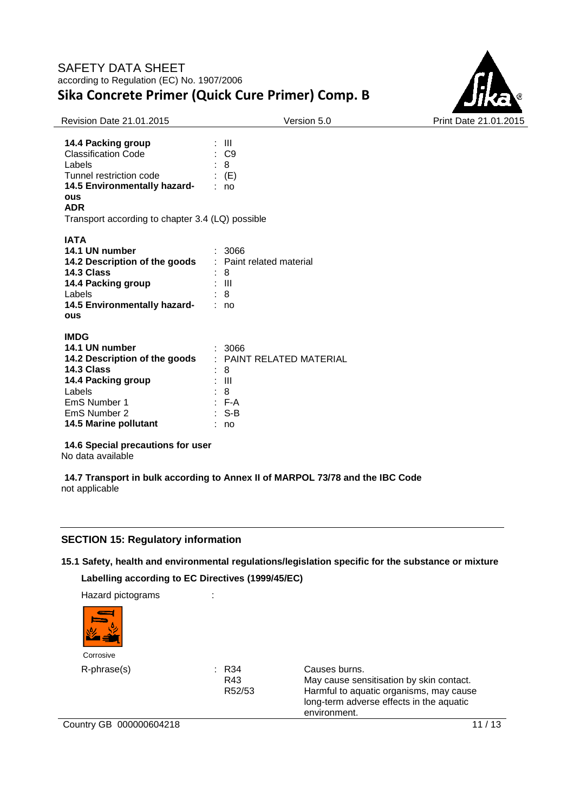

| <b>Revision Date 21.01.2015</b>                                                                                                                                                                            | Version 5.0                                                                   | Print Date 21.01.2015 |
|------------------------------------------------------------------------------------------------------------------------------------------------------------------------------------------------------------|-------------------------------------------------------------------------------|-----------------------|
| 14.4 Packing group<br><b>Classification Code</b><br>Labels<br>Tunnel restriction code<br>14.5 Environmentally hazard-<br><b>ous</b><br><b>ADR</b><br>Transport according to chapter 3.4 (LQ) possible      | $\pm$ 111<br>$\therefore$ C9<br>: 8<br>$\colon$ (E)<br>: no                   |                       |
| <b>IATA</b><br>14.1 UN number<br>14.2 Description of the goods<br>14.3 Class<br>14.4 Packing group<br>Labels<br>14.5 Environmentally hazard-<br><b>ous</b>                                                 | : 3066<br>: Paint related material<br>: 8<br>: III<br>: 8<br>: no             |                       |
| <b>IMDG</b><br>14.1 UN number<br>14.2 Description of the goods<br>14.3 Class<br>14.4 Packing group<br>Labels<br>EmS Number 1<br>EmS Number 2<br>14.5 Marine pollutant<br>14 6 Coocial procoutions for user | : 3066<br>: PAINT RELATED MATERIAL<br>8<br>Ш<br>8<br>$F-A$<br>$: S-B$<br>: no |                       |

**14.6 Special precautions for user**

No data available

**14.7 Transport in bulk according to Annex II of MARPOL 73/78 and the IBC Code** not applicable

## **SECTION 15: Regulatory information**

# **15.1 Safety, health and environmental regulations/legislation specific for the substance or mixture Labelling according to EC Directives (1999/45/EC)**

Hazard pictograms :



| R34   |
|-------|
| R43   |
| R52/! |

R-phrase(s) : R34 Causes burns. May cause sensitisation by skin contact. 52/53 Harmful to aquatic organisms, may cause long-term adverse effects in the aquatic environment.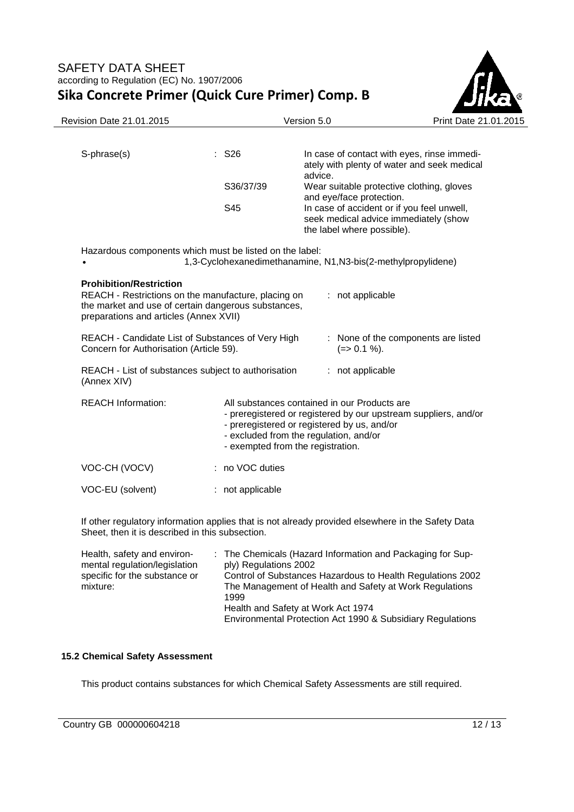

| Revision Date 21.01.2015                                                                                                                                                               |                     | Version 5.0                                                                                                                                                                                                                                   | Print Date 21.01.2015                                                                      |  |
|----------------------------------------------------------------------------------------------------------------------------------------------------------------------------------------|---------------------|-----------------------------------------------------------------------------------------------------------------------------------------------------------------------------------------------------------------------------------------------|--------------------------------------------------------------------------------------------|--|
|                                                                                                                                                                                        |                     |                                                                                                                                                                                                                                               |                                                                                            |  |
| S-phrase(s)                                                                                                                                                                            | $:$ S <sub>26</sub> | advice.                                                                                                                                                                                                                                       | In case of contact with eyes, rinse immedi-<br>ately with plenty of water and seek medical |  |
|                                                                                                                                                                                        | S36/37/39           | Wear suitable protective clothing, gloves<br>and eye/face protection.                                                                                                                                                                         |                                                                                            |  |
|                                                                                                                                                                                        | S45                 | In case of accident or if you feel unwell,<br>seek medical advice immediately (show<br>the label where possible).                                                                                                                             |                                                                                            |  |
| Hazardous components which must be listed on the label:                                                                                                                                |                     | 1,3-Cyclohexanedimethanamine, N1, N3-bis(2-methylpropylidene)                                                                                                                                                                                 |                                                                                            |  |
| <b>Prohibition/Restriction</b><br>REACH - Restrictions on the manufacture, placing on<br>the market and use of certain dangerous substances,<br>preparations and articles (Annex XVII) |                     | : not applicable                                                                                                                                                                                                                              |                                                                                            |  |
| REACH - Candidate List of Substances of Very High<br>Concern for Authorisation (Article 59).                                                                                           |                     | $(=>0.1\%)$ .                                                                                                                                                                                                                                 | : None of the components are listed                                                        |  |
| REACH - List of substances subject to authorisation<br>(Annex XIV)                                                                                                                     |                     | : not applicable                                                                                                                                                                                                                              |                                                                                            |  |
| <b>REACH Information:</b>                                                                                                                                                              |                     | All substances contained in our Products are<br>- preregistered or registered by our upstream suppliers, and/or<br>- preregistered or registered by us, and/or<br>- excluded from the regulation, and/or<br>- exempted from the registration. |                                                                                            |  |
| VOC-CH (VOCV)                                                                                                                                                                          | : no VOC duties     |                                                                                                                                                                                                                                               |                                                                                            |  |
| VOC-EU (solvent)                                                                                                                                                                       | : not applicable    |                                                                                                                                                                                                                                               |                                                                                            |  |
| Sheet, then it is described in this subsection.                                                                                                                                        |                     | If other regulatory information applies that is not already provided elsewhere in the Safety Data                                                                                                                                             |                                                                                            |  |
| Health, safety and environ-                                                                                                                                                            |                     | The Chemicals (Hazard Information and Packaging for Sup-                                                                                                                                                                                      |                                                                                            |  |

| $\pm$ The Chemicals (Hazard Information and Packaging for Sup- |
|----------------------------------------------------------------|
| ply) Regulations 2002                                          |
| Control of Substances Hazardous to Health Regulations 2002     |
| The Management of Health and Safety at Work Regulations        |
| 1999                                                           |
| Health and Safety at Work Act 1974                             |
| Environmental Protection Act 1990 & Subsidiary Regulations     |
|                                                                |

## **15.2 Chemical Safety Assessment**

This product contains substances for which Chemical Safety Assessments are still required.